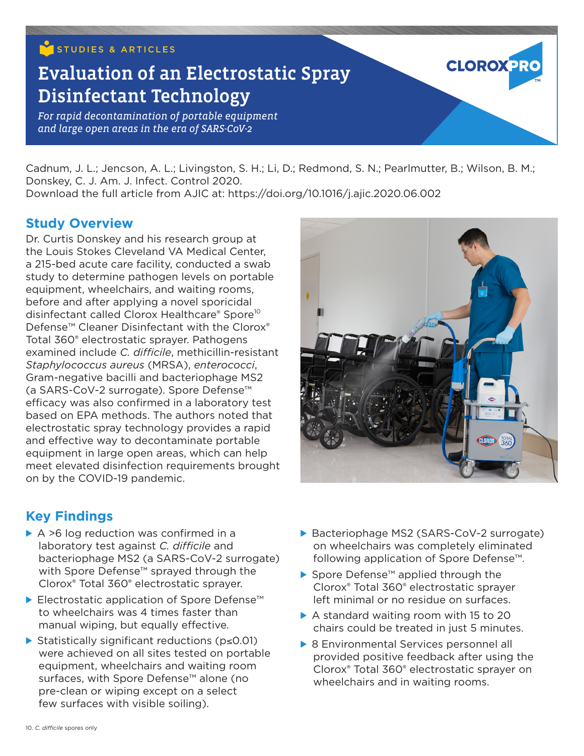## STUDIES & ARTICLES

# Evaluation of an Electrostatic Spray Disinfectant Technology

*For rapid decontamination of portable equipment and large open areas in the era of SARS-CoV-2*

Cadnum, J. L.; Jencson, A. L.; Livingston, S. H.; Li, D.; Redmond, S. N.; Pearlmutter, B.; Wilson, B. M.; Donskey, C. J. Am. J. Infect. Control 2020. Download the full article from AJIC at: https://doi.org/10.1016/j.ajic.2020.06.002

#### **Study Overview**

Dr. Curtis Donskey and his research group at the Louis Stokes Cleveland VA Medical Center, a 215-bed acute care facility, conducted a swab study to determine pathogen levels on portable equipment, wheelchairs, and waiting rooms, before and after applying a novel sporicidal disinfectant called Clorox Healthcare® Spore<sup>10</sup> Defense<sup>™</sup> Cleaner Disinfectant with the Clorox<sup>®</sup> Total 360® electrostatic sprayer. Pathogens examined include *C. difficile*, methicillin-resistant *Staphylococcus aureus* (MRSA), *enterococci*, Gram-negative bacilli and bacteriophage MS2 (a SARS-CoV-2 surrogate). Spore Defense™ efficacy was also confirmed in a laboratory test based on EPA methods. The authors noted that electrostatic spray technology provides a rapid and effective way to decontaminate portable equipment in large open areas, which can help meet elevated disinfection requirements brought on by the COVID-19 pandemic.

**CLOROX PR** 

### **Key Findings**

- $\triangleright$  A >6 log reduction was confirmed in a laboratory test against *C. difficile* and bacteriophage MS2 (a SARS-CoV-2 surrogate) with Spore Defense™ sprayed through the Clorox® Total 360® electrostatic sprayer.
- ▶ Electrostatic application of Spore Defense<sup>™</sup> to wheelchairs was 4 times faster than manual wiping, but equally effective.
- ▶ Statistically significant reductions (p≤0.01) were achieved on all sites tested on portable equipment, wheelchairs and waiting room surfaces, with Spore Defense<sup>™</sup> alone (no pre-clean or wiping except on a select few surfaces with visible soiling).
- ▶ Bacteriophage MS2 (SARS-CoV-2 surrogate) on wheelchairs was completely eliminated following application of Spore Defense™.
- ▶ Spore Defense<sup>™</sup> applied through the Clorox® Total 360® electrostatic sprayer left minimal or no residue on surfaces.
- $\triangleright$  A standard waiting room with 15 to 20 chairs could be treated in just 5 minutes.
- ▶ 8 Environmental Services personnel all provided positive feedback after using the Clorox® Total 360® electrostatic sprayer on wheelchairs and in waiting rooms.